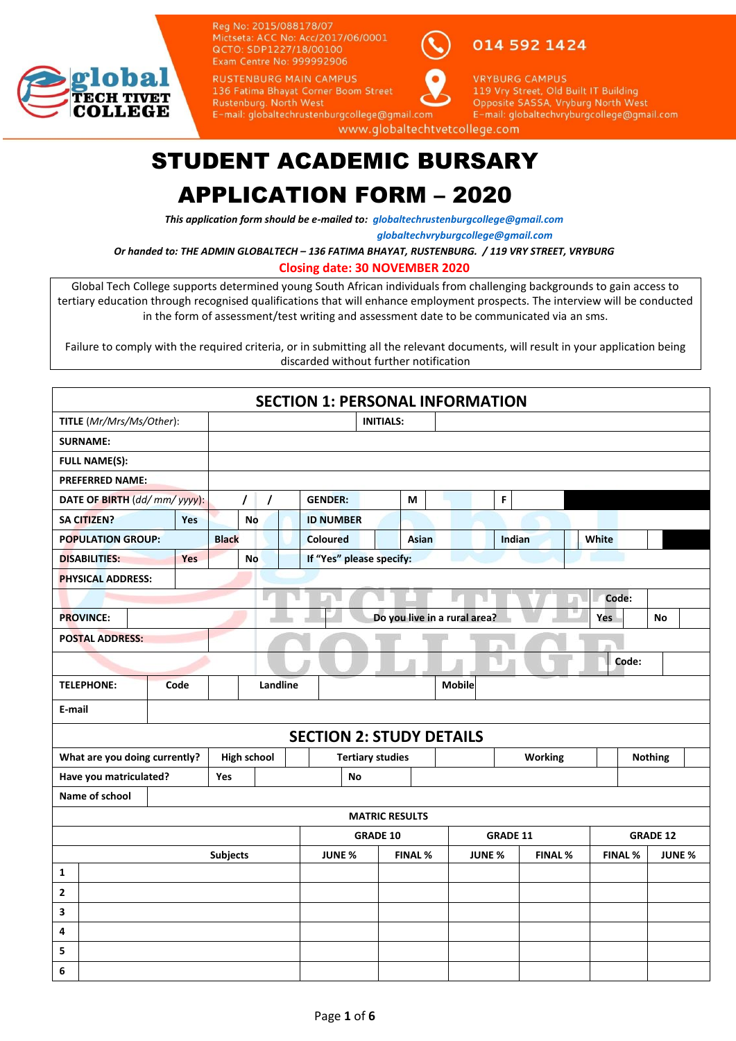

Reg No: 2015/088178/07 Mictseta: ACC No: Acc/2017/06/0001 QCTO: SDP1227/18/00100 Exam Centre No: 999992906

**RUSTENBURG MAIN CAMPUS** 

E-mail: globaltechrustenburgcollege@gmail.com

014 592 1424



**VRYBURG CAMPUS** 119 Vry Street, Old Built IT Building Opposite SASSA, Vryburg North West E-mail: globaltechvryburgcollege@gmail.com

www.globaltechtvetcollege.com

## STUDENT ACADEMIC BURSARY

### APPLICATION FORM – 2020

*This application form should be e-mailed to: [globaltechrustenburgcollege@gmail.com](mailto:globaltechrustenburgcollege@gmail.com)*

 *[globaltechvryburgcollege@gmail.com](mailto:globaltechvryburgcollege@gmail.com)*

*Or handed to: THE ADMIN GLOBALTECH – 136 FATIMA BHAYAT, RUSTENBURG. / 119 VRY STREET, VRYBURG*

**Closing date: 30 NOVEMBER 2020**

Global Tech College supports determined young South African individuals from challenging backgrounds to gain access to tertiary education through recognised qualifications that will enhance employment prospects. The interview will be conducted in the form of assessment/test writing and assessment date to be communicated via an sms.

Failure to comply with the required criteria, or in submitting all the relevant documents, will result in your application being discarded without further notification

| <b>SECTION 1: PERSONAL INFORMATION</b>                |                 |                      |  |                          |                         |                |                                 |               |                |                |       |                |               |
|-------------------------------------------------------|-----------------|----------------------|--|--------------------------|-------------------------|----------------|---------------------------------|---------------|----------------|----------------|-------|----------------|---------------|
| TITLE (Mr/Mrs/Ms/Other):                              |                 |                      |  |                          | <b>INITIALS:</b>        |                |                                 |               |                |                |       |                |               |
| <b>SURNAME:</b>                                       |                 |                      |  |                          |                         |                |                                 |               |                |                |       |                |               |
| <b>FULL NAME(S):</b>                                  |                 |                      |  |                          |                         |                |                                 |               |                |                |       |                |               |
| <b>PREFERRED NAME:</b>                                |                 |                      |  |                          |                         |                |                                 |               |                |                |       |                |               |
| DATE OF BIRTH (dd/mm/yyyy):                           |                 | $\prime$<br>$\prime$ |  | <b>GENDER:</b>           |                         | М              |                                 | F.            |                |                |       |                |               |
| <b>SA CITIZEN?</b><br><b>Yes</b>                      |                 | <b>No</b>            |  | <b>ID NUMBER</b>         |                         |                |                                 |               |                |                |       |                |               |
| <b>POPULATION GROUP:</b>                              | <b>Black</b>    |                      |  | <b>Coloured</b>          |                         | <b>Asian</b>   |                                 |               | Indian         | <b>White</b>   |       |                |               |
| <b>DISABILITIES:</b><br><b>Yes</b>                    |                 | No                   |  | If "Yes" please specify: |                         |                |                                 |               |                |                |       |                |               |
| <b>PHYSICAL ADDRESS:</b>                              |                 |                      |  |                          |                         |                |                                 |               |                |                |       |                |               |
|                                                       |                 |                      |  |                          |                         |                |                                 |               |                | Code:          |       |                |               |
| <b>PROVINCE:</b>                                      |                 |                      |  |                          |                         |                | Do you live in a rural area?    |               |                | Yes            |       | <b>No</b>      |               |
| <b>POSTAL ADDRESS:</b>                                |                 |                      |  |                          |                         |                |                                 | m             |                |                |       |                |               |
|                                                       |                 |                      |  |                          |                         |                |                                 |               |                |                | Code: |                |               |
| Code<br><b>TELEPHONE:</b>                             |                 | Landline             |  |                          |                         |                | <b>Mobile</b>                   |               |                |                |       |                |               |
| E-mail                                                |                 |                      |  |                          |                         |                |                                 |               |                |                |       |                |               |
|                                                       |                 |                      |  |                          |                         |                | <b>SECTION 2: STUDY DETAILS</b> |               |                |                |       |                |               |
| What are you doing currently?                         |                 | <b>High school</b>   |  |                          | <b>Tertiary studies</b> |                |                                 |               | <b>Working</b> |                |       | <b>Nothing</b> |               |
| Have you matriculated?                                | Yes             |                      |  | <b>No</b>                |                         |                |                                 |               |                |                |       |                |               |
| Name of school                                        |                 |                      |  |                          |                         |                |                                 |               |                |                |       |                |               |
| <b>MATRIC RESULTS</b>                                 |                 |                      |  |                          |                         |                |                                 |               |                |                |       |                |               |
| <b>GRADE 12</b><br><b>GRADE 10</b><br><b>GRADE 11</b> |                 |                      |  |                          |                         |                |                                 |               |                |                |       |                |               |
|                                                       | <b>Subjects</b> |                      |  | <b>JUNE %</b>            |                         | <b>FINAL %</b> |                                 | <b>JUNE %</b> | <b>FINAL %</b> | <b>FINAL %</b> |       |                | <b>JUNE %</b> |
| 1                                                     |                 |                      |  |                          |                         |                |                                 |               |                |                |       |                |               |
| $\mathbf{2}$                                          |                 |                      |  |                          |                         |                |                                 |               |                |                |       |                |               |
| 3                                                     |                 |                      |  |                          |                         |                |                                 |               |                |                |       |                |               |
| 4                                                     |                 |                      |  |                          |                         |                |                                 |               |                |                |       |                |               |
| 5                                                     |                 |                      |  |                          |                         |                |                                 |               |                |                |       |                |               |
| 6                                                     |                 |                      |  |                          |                         |                |                                 |               |                |                |       |                |               |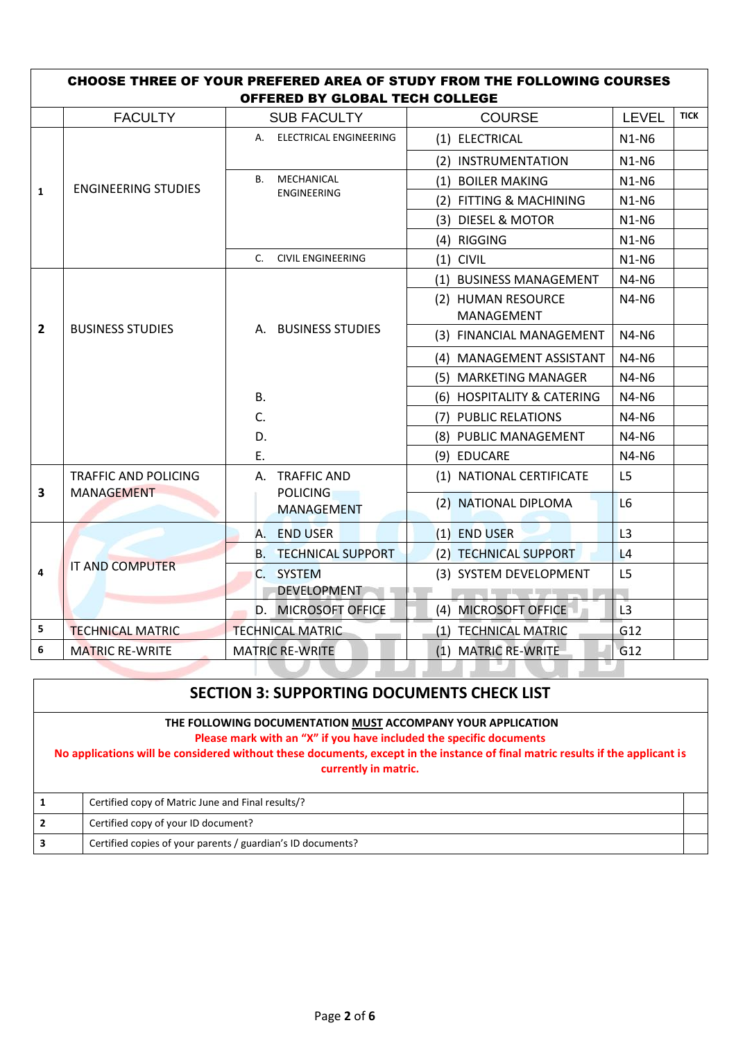|                         | <b>CHOOSE THREE OF YOUR PREFERED AREA OF STUDY FROM THE FOLLOWING COURSES</b><br>OFFERED BY GLOBAL TECH COLLEGE |                                      |                                          |                |             |  |  |
|-------------------------|-----------------------------------------------------------------------------------------------------------------|--------------------------------------|------------------------------------------|----------------|-------------|--|--|
|                         | <b>FACULTY</b>                                                                                                  | <b>SUB FACULTY</b>                   | <b>COURSE</b>                            | LEVEL          | <b>TICK</b> |  |  |
|                         |                                                                                                                 | A. ELECTRICAL ENGINEERING            | (1) ELECTRICAL                           | $N1-N6$        |             |  |  |
|                         |                                                                                                                 |                                      | (2) INSTRUMENTATION                      | $N1-N6$        |             |  |  |
|                         | <b>ENGINEERING STUDIES</b>                                                                                      | B. MECHANICAL                        | (1) BOILER MAKING                        | $N1-N6$        |             |  |  |
| $\mathbf{1}$            |                                                                                                                 | <b>ENGINEERING</b>                   | (2) FITTING & MACHINING                  | $N1-N6$        |             |  |  |
|                         |                                                                                                                 |                                      | (3) DIESEL & MOTOR                       | $N1-N6$        |             |  |  |
|                         |                                                                                                                 |                                      | (4) RIGGING                              | $N1-N6$        |             |  |  |
|                         |                                                                                                                 | <b>CIVIL ENGINEERING</b><br>$C_{n}$  | $(1)$ CIVIL                              | <b>N1-N6</b>   |             |  |  |
|                         |                                                                                                                 |                                      | (1) BUSINESS MANAGEMENT                  | N4-N6          |             |  |  |
| $\overline{2}$          | <b>BUSINESS STUDIES</b>                                                                                         |                                      | (2) HUMAN RESOURCE<br>MANAGEMENT         | N4-N6          |             |  |  |
|                         |                                                                                                                 | A. BUSINESS STUDIES                  | (3) FINANCIAL MANAGEMENT                 | N4-N6          |             |  |  |
|                         |                                                                                                                 |                                      | (4) MANAGEMENT ASSISTANT                 | <b>N4-N6</b>   |             |  |  |
|                         |                                                                                                                 |                                      | (5) MARKETING MANAGER                    | $N4-N6$        |             |  |  |
|                         |                                                                                                                 | В.                                   | (6) HOSPITALITY & CATERING               | N4-N6          |             |  |  |
|                         |                                                                                                                 | C.                                   | (7) PUBLIC RELATIONS                     | N4-N6          |             |  |  |
|                         |                                                                                                                 | D.                                   | (8) PUBLIC MANAGEMENT                    | N4-N6          |             |  |  |
|                         |                                                                                                                 | F.                                   | (9) EDUCARE                              | N4-N6          |             |  |  |
|                         | TRAFFIC AND POLICING                                                                                            | A. TRAFFIC AND                       | (1) NATIONAL CERTIFICATE                 | L5             |             |  |  |
| $\overline{\mathbf{3}}$ | <b>MANAGEMENT</b>                                                                                               | <b>POLICING</b><br><b>MANAGEMENT</b> | (2) NATIONAL DIPLOMA                     | L <sub>6</sub> |             |  |  |
|                         |                                                                                                                 | A. END USER                          | (1) END USER                             | L <sub>3</sub> |             |  |  |
|                         |                                                                                                                 | <b>B. TECHNICAL SUPPORT</b>          | (2) TECHNICAL SUPPORT                    | L4             |             |  |  |
| 4                       | <b>IT AND COMPUTER</b>                                                                                          | C. SYSTEM                            | (3) SYSTEM DEVELOPMENT                   | L <sub>5</sub> |             |  |  |
|                         |                                                                                                                 | <b>DEVELOPMENT</b>                   | a series and the series of the series of |                |             |  |  |
|                         |                                                                                                                 | D. MICROSOFT OFFICE                  | (4) MICROSOFT OFFICE                     | L3             |             |  |  |
| 5                       | <b>TECHNICAL MATRIC</b>                                                                                         | <b>TECHNICAL MATRIC</b>              | (1) TECHNICAL MATRIC                     | G12            |             |  |  |
| 6                       | <b>MATRIC RE-WRITE</b>                                                                                          | <b>MATRIC RE-WRITE</b>               | (1) MATRIC RE-WRITE                      | G12            |             |  |  |
|                         |                                                                                                                 |                                      |                                          |                |             |  |  |

|                | SECTION 3: SUPPORTING DOCUMENTS CHECK LIST                                                                                                                                                                                                                                                   |  |  |  |  |  |  |  |
|----------------|----------------------------------------------------------------------------------------------------------------------------------------------------------------------------------------------------------------------------------------------------------------------------------------------|--|--|--|--|--|--|--|
|                | THE FOLLOWING DOCUMENTATION MUST ACCOMPANY YOUR APPLICATION<br>Please mark with an "X" if you have included the specific documents<br>No applications will be considered without these documents, except in the instance of final matric results if the applicant is<br>currently in matric. |  |  |  |  |  |  |  |
|                | Certified copy of Matric June and Final results/?                                                                                                                                                                                                                                            |  |  |  |  |  |  |  |
| $\overline{2}$ | Certified copy of your ID document?                                                                                                                                                                                                                                                          |  |  |  |  |  |  |  |
| 3              | Certified copies of your parents / guardian's ID documents?                                                                                                                                                                                                                                  |  |  |  |  |  |  |  |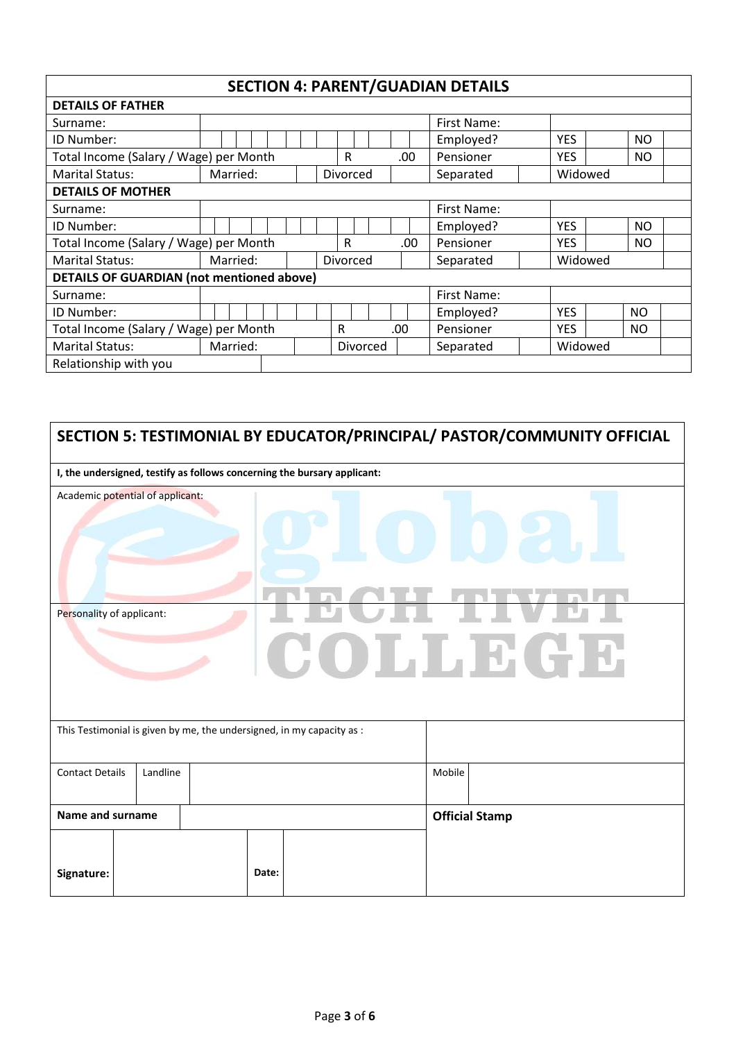#### **SECTION 4: PARENT/GUADIAN DETAILS**

 $\overline{\phantom{a}}$ 

| <b>DETAILS OF FATHER</b>                         |          |          |  |          |  |  |           |             |           |            |           |            |             |            |         |           |  |
|--------------------------------------------------|----------|----------|--|----------|--|--|-----------|-------------|-----------|------------|-----------|------------|-------------|------------|---------|-----------|--|
| Surname:                                         |          |          |  |          |  |  |           | First Name: |           |            |           |            |             |            |         |           |  |
| ID Number:                                       |          |          |  |          |  |  |           |             |           |            |           |            | Employed?   | <b>YES</b> |         | <b>NO</b> |  |
| Total Income (Salary / Wage) per Month           |          |          |  |          |  |  |           | R           |           |            |           | .00        | Pensioner   | <b>YES</b> |         | <b>NO</b> |  |
| <b>Marital Status:</b>                           |          | Married: |  |          |  |  |           | Divorced    |           |            |           |            | Separated   |            | Widowed |           |  |
| <b>DETAILS OF MOTHER</b>                         |          |          |  |          |  |  |           |             |           |            |           |            |             |            |         |           |  |
| Surname:                                         |          |          |  |          |  |  |           |             |           |            |           |            | First Name: |            |         |           |  |
| ID Number:                                       |          |          |  |          |  |  |           |             |           |            |           |            | Employed?   | <b>YES</b> |         | <b>NO</b> |  |
| Total Income (Salary / Wage) per Month           |          |          |  |          |  |  |           | R<br>.00    |           |            | Pensioner | <b>YES</b> |             | <b>NO</b>  |         |           |  |
| <b>Marital Status:</b>                           |          | Married: |  |          |  |  |           | Divorced    |           |            | Separated |            | Widowed     |            |         |           |  |
| <b>DETAILS OF GUARDIAN (not mentioned above)</b> |          |          |  |          |  |  |           |             |           |            |           |            |             |            |         |           |  |
| Surname:                                         |          |          |  |          |  |  |           |             |           |            |           |            | First Name: |            |         |           |  |
| ID Number:                                       |          |          |  |          |  |  |           |             |           |            |           |            | Employed?   | <b>YES</b> |         | <b>NO</b> |  |
| Total Income (Salary / Wage) per Month           |          |          |  | R        |  |  | .00       |             | Pensioner | <b>YES</b> |           | <b>NO</b>  |             |            |         |           |  |
| <b>Marital Status:</b>                           | Married: |          |  | Divorced |  |  | Separated |             | Widowed   |            |           |            |             |            |         |           |  |
| Relationship with you                            |          |          |  |          |  |  |           |             |           |            |           |            |             |            |         |           |  |

|                                                                       | SECTION 5: TESTIMONIAL BY EDUCATOR/PRINCIPAL/ PASTOR/COMMUNITY OFFICIAL |  |       |                                                                          |        |                       |  |
|-----------------------------------------------------------------------|-------------------------------------------------------------------------|--|-------|--------------------------------------------------------------------------|--------|-----------------------|--|
|                                                                       |                                                                         |  |       | I, the undersigned, testify as follows concerning the bursary applicant: |        |                       |  |
| Academic potential of applicant:                                      |                                                                         |  |       |                                                                          |        |                       |  |
|                                                                       | Personality of applicant:<br>COLLBCD                                    |  |       |                                                                          |        |                       |  |
| This Testimonial is given by me, the undersigned, in my capacity as : |                                                                         |  |       |                                                                          |        |                       |  |
| <b>Contact Details</b>                                                | Landline                                                                |  |       |                                                                          | Mobile |                       |  |
| Name and surname                                                      |                                                                         |  |       |                                                                          |        | <b>Official Stamp</b> |  |
| Signature:                                                            |                                                                         |  | Date: |                                                                          |        |                       |  |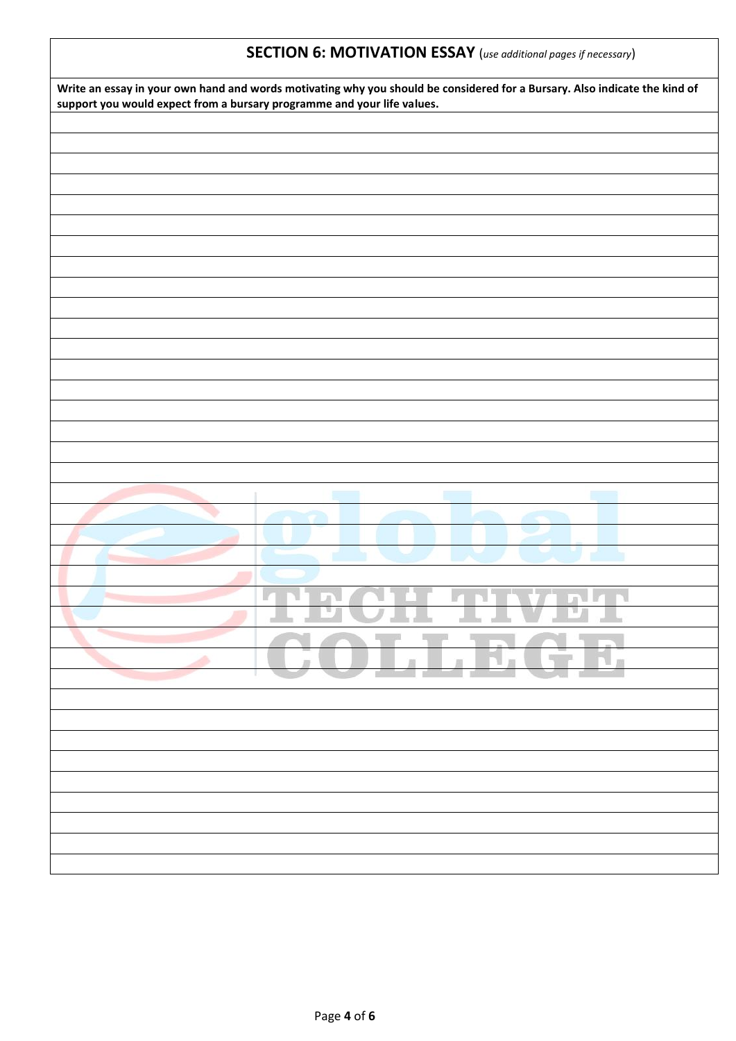#### **SECTION 6: MOTIVATION ESSAY** (*use additional pages if necessary*)

| Write an essay in your own hand and words motivating why you should be considered for a Bursary. Also indicate the kind of<br>support you would expect from a bursary programme and your life values. |
|-------------------------------------------------------------------------------------------------------------------------------------------------------------------------------------------------------|
|                                                                                                                                                                                                       |
|                                                                                                                                                                                                       |
|                                                                                                                                                                                                       |
|                                                                                                                                                                                                       |
|                                                                                                                                                                                                       |
|                                                                                                                                                                                                       |
|                                                                                                                                                                                                       |
|                                                                                                                                                                                                       |
|                                                                                                                                                                                                       |
|                                                                                                                                                                                                       |
|                                                                                                                                                                                                       |
|                                                                                                                                                                                                       |
|                                                                                                                                                                                                       |
|                                                                                                                                                                                                       |
|                                                                                                                                                                                                       |
|                                                                                                                                                                                                       |
|                                                                                                                                                                                                       |
|                                                                                                                                                                                                       |
|                                                                                                                                                                                                       |
|                                                                                                                                                                                                       |
|                                                                                                                                                                                                       |
|                                                                                                                                                                                                       |
|                                                                                                                                                                                                       |
|                                                                                                                                                                                                       |
|                                                                                                                                                                                                       |
|                                                                                                                                                                                                       |
|                                                                                                                                                                                                       |
|                                                                                                                                                                                                       |
| ULLLE <sup>1</sup><br>$\overline{1}$                                                                                                                                                                  |
|                                                                                                                                                                                                       |
|                                                                                                                                                                                                       |
|                                                                                                                                                                                                       |
|                                                                                                                                                                                                       |
|                                                                                                                                                                                                       |
|                                                                                                                                                                                                       |
|                                                                                                                                                                                                       |
|                                                                                                                                                                                                       |
|                                                                                                                                                                                                       |
|                                                                                                                                                                                                       |
|                                                                                                                                                                                                       |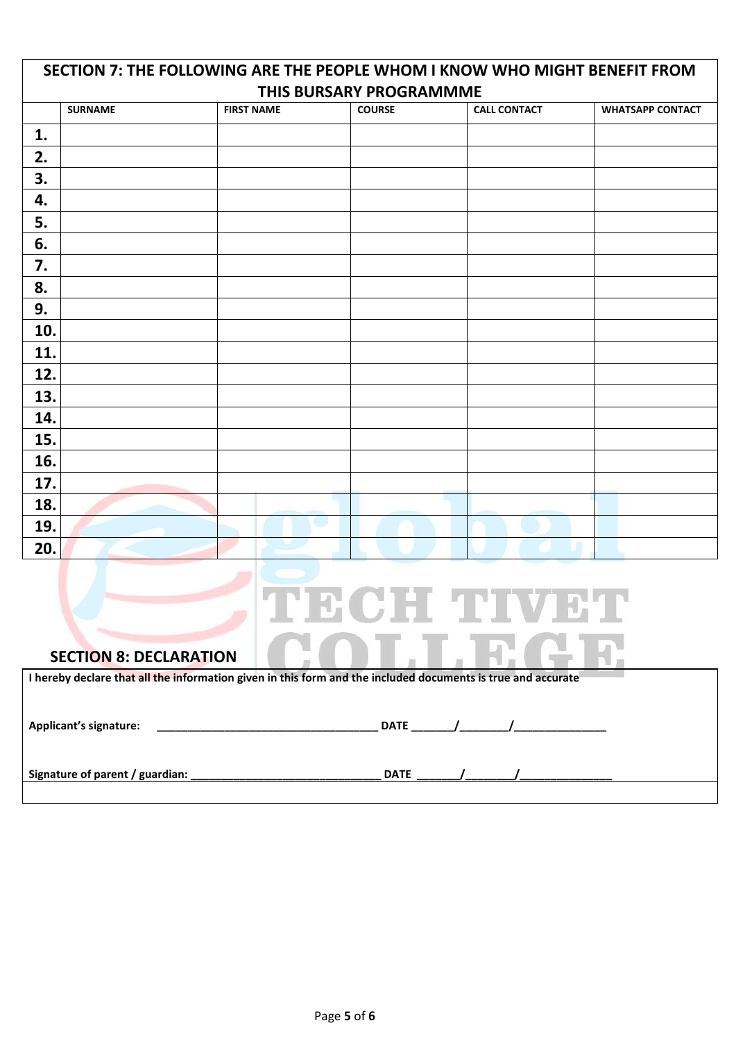|     | SECTION 7: THE FOLLOWING ARE THE PEOPLE WHOM I KNOW WHO MIGHT BENEFIT FROM |                   |               |                     |                         |  |  |  |
|-----|----------------------------------------------------------------------------|-------------------|---------------|---------------------|-------------------------|--|--|--|
|     | THIS BURSARY PROGRAMMME                                                    |                   |               |                     |                         |  |  |  |
|     | <b>SURNAME</b>                                                             | <b>FIRST NAME</b> | <b>COURSE</b> | <b>CALL CONTACT</b> | <b>WHATSAPP CONTACT</b> |  |  |  |
| 1.  |                                                                            |                   |               |                     |                         |  |  |  |
| 2.  |                                                                            |                   |               |                     |                         |  |  |  |
| 3.  |                                                                            |                   |               |                     |                         |  |  |  |
| 4.  |                                                                            |                   |               |                     |                         |  |  |  |
| 5.  |                                                                            |                   |               |                     |                         |  |  |  |
| 6.  |                                                                            |                   |               |                     |                         |  |  |  |
| 7.  |                                                                            |                   |               |                     |                         |  |  |  |
| 8.  |                                                                            |                   |               |                     |                         |  |  |  |
| 9.  |                                                                            |                   |               |                     |                         |  |  |  |
| 10. |                                                                            |                   |               |                     |                         |  |  |  |
| 11. |                                                                            |                   |               |                     |                         |  |  |  |
| 12. |                                                                            |                   |               |                     |                         |  |  |  |
| 13. |                                                                            |                   |               |                     |                         |  |  |  |
| 14. |                                                                            |                   |               |                     |                         |  |  |  |
| 15. |                                                                            |                   |               |                     |                         |  |  |  |
| 16. |                                                                            |                   |               |                     |                         |  |  |  |
| 17. |                                                                            |                   |               |                     |                         |  |  |  |
| 18. |                                                                            |                   |               |                     |                         |  |  |  |
| 19. |                                                                            | w                 |               |                     |                         |  |  |  |
| 20. |                                                                            |                   |               |                     |                         |  |  |  |

# TECH TIVET LLEGE

#### **SECTION 8: DECLARATION**

| I hereby declare that all the information given in this form and the included documents is true and accurate |  |             |  |  |  |
|--------------------------------------------------------------------------------------------------------------|--|-------------|--|--|--|
| Applicant's signature:                                                                                       |  | <b>DATE</b> |  |  |  |
| Signature of parent / guardian: _                                                                            |  | <b>DATE</b> |  |  |  |